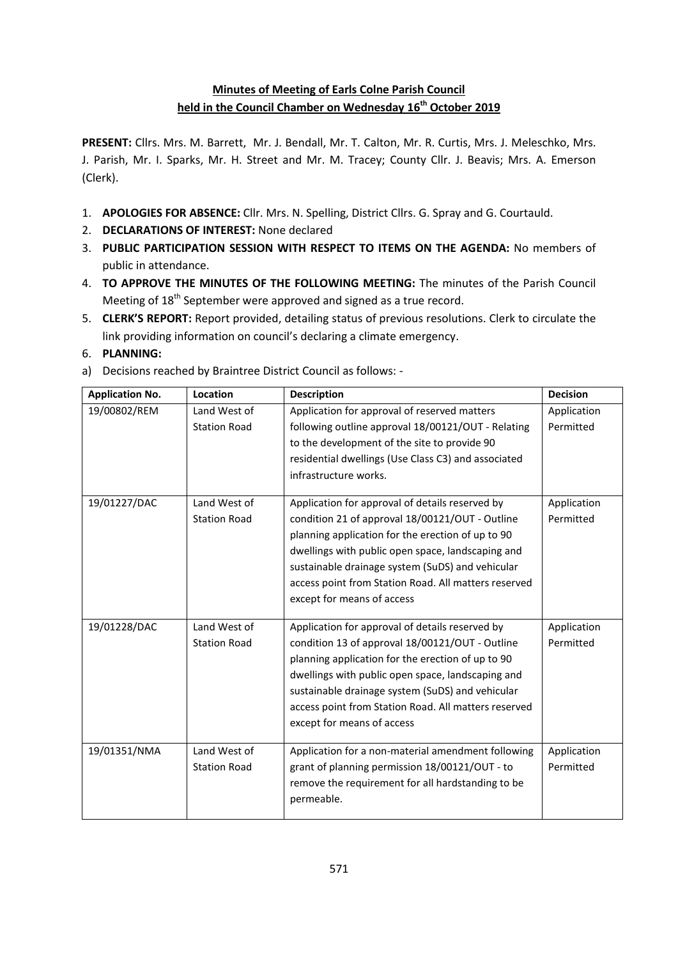## **Minutes of Meeting of Earls Colne Parish Council held in the Council Chamber on Wednesday 16th October 2019**

**PRESENT:** Cllrs. Mrs. M. Barrett, Mr. J. Bendall, Mr. T. Calton, Mr. R. Curtis, Mrs. J. Meleschko, Mrs. J. Parish, Mr. I. Sparks, Mr. H. Street and Mr. M. Tracey; County Cllr. J. Beavis; Mrs. A. Emerson (Clerk).

- 1. **APOLOGIES FOR ABSENCE:** Cllr. Mrs. N. Spelling, District Cllrs. G. Spray and G. Courtauld.
- 2. **DECLARATIONS OF INTEREST:** None declared
- 3. **PUBLIC PARTICIPATION SESSION WITH RESPECT TO ITEMS ON THE AGENDA:** No members of public in attendance.
- 4. **TO APPROVE THE MINUTES OF THE FOLLOWING MEETING:** The minutes of the Parish Council Meeting of 18<sup>th</sup> September were approved and signed as a true record.
- 5. **CLERK'S REPORT:** Report provided, detailing status of previous resolutions. Clerk to circulate the link providing information on council's declaring a climate emergency.
- 6. **PLANNING:**
- a) Decisions reached by Braintree District Council as follows: -

| <b>Application No.</b> | Location                            | <b>Description</b>                                                                                                                                                                                                                                                                                                                                     | <b>Decision</b>          |
|------------------------|-------------------------------------|--------------------------------------------------------------------------------------------------------------------------------------------------------------------------------------------------------------------------------------------------------------------------------------------------------------------------------------------------------|--------------------------|
| 19/00802/REM           | Land West of<br><b>Station Road</b> | Application for approval of reserved matters<br>following outline approval 18/00121/OUT - Relating<br>to the development of the site to provide 90<br>residential dwellings (Use Class C3) and associated<br>infrastructure works.                                                                                                                     | Application<br>Permitted |
| 19/01227/DAC           | Land West of<br><b>Station Road</b> | Application for approval of details reserved by<br>condition 21 of approval 18/00121/OUT - Outline<br>planning application for the erection of up to 90<br>dwellings with public open space, landscaping and<br>sustainable drainage system (SuDS) and vehicular<br>access point from Station Road. All matters reserved<br>except for means of access | Application<br>Permitted |
| 19/01228/DAC           | Land West of<br><b>Station Road</b> | Application for approval of details reserved by<br>condition 13 of approval 18/00121/OUT - Outline<br>planning application for the erection of up to 90<br>dwellings with public open space, landscaping and<br>sustainable drainage system (SuDS) and vehicular<br>access point from Station Road. All matters reserved<br>except for means of access | Application<br>Permitted |
| 19/01351/NMA           | Land West of<br><b>Station Road</b> | Application for a non-material amendment following<br>grant of planning permission 18/00121/OUT - to<br>remove the requirement for all hardstanding to be<br>permeable.                                                                                                                                                                                | Application<br>Permitted |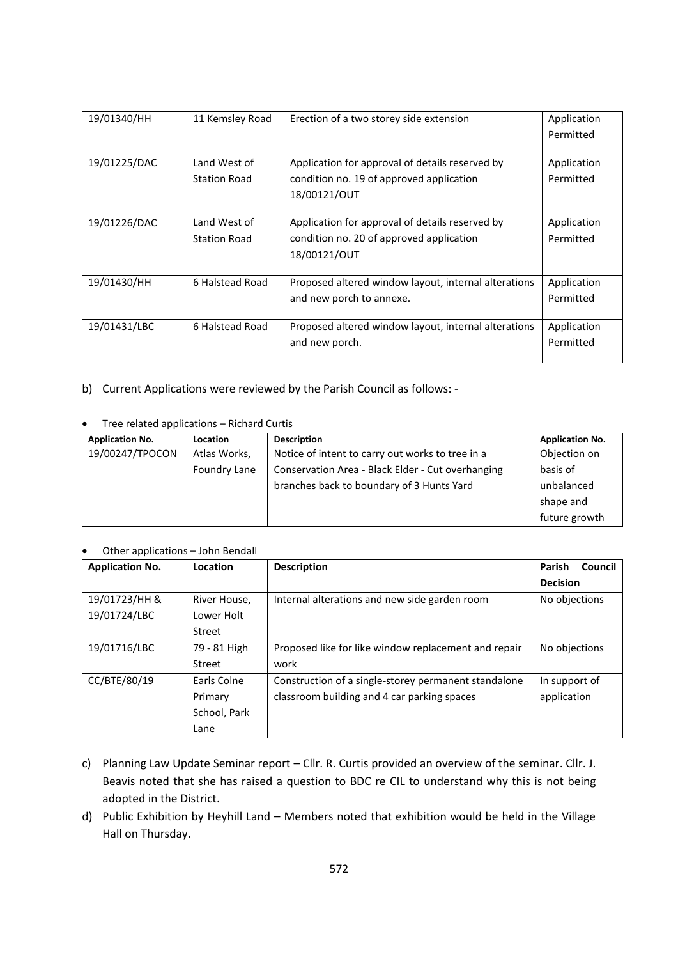| 19/01340/HH  | 11 Kemsley Road | Erection of a two storey side extension              | Application<br>Permitted |
|--------------|-----------------|------------------------------------------------------|--------------------------|
|              |                 |                                                      |                          |
| 19/01225/DAC | Land West of    | Application for approval of details reserved by      | Application              |
|              | Station Road    | condition no. 19 of approved application             | Permitted                |
|              |                 | 18/00121/OUT                                         |                          |
|              |                 |                                                      |                          |
| 19/01226/DAC | Land West of    | Application for approval of details reserved by      | Application              |
|              | Station Road    | condition no. 20 of approved application             | Permitted                |
|              |                 | 18/00121/OUT                                         |                          |
|              |                 |                                                      |                          |
| 19/01430/HH  | 6 Halstead Road | Proposed altered window layout, internal alterations | Application              |
|              |                 | and new porch to annexe.                             | Permitted                |
|              |                 |                                                      |                          |
| 19/01431/LBC | 6 Halstead Road | Proposed altered window layout, internal alterations | Application              |
|              |                 | and new porch.                                       | Permitted                |
|              |                 |                                                      |                          |

b) Current Applications were reviewed by the Parish Council as follows: -

|  | Tree related applications - Richard Curtis |
|--|--------------------------------------------|
|--|--------------------------------------------|

| <b>Application No.</b> | <b>Location</b> | <b>Description</b>                                | <b>Application No.</b> |
|------------------------|-----------------|---------------------------------------------------|------------------------|
| 19/00247/TPOCON        | Atlas Works,    | Notice of intent to carry out works to tree in a  | Objection on           |
|                        | Foundry Lane    | Conservation Area - Black Elder - Cut overhanging | basis of               |
|                        |                 | branches back to boundary of 3 Hunts Yard         | unbalanced             |
|                        |                 |                                                   | shape and              |
|                        |                 |                                                   | future growth          |

Other applications – John Bendall

| <b>Application No.</b> | Location     | <b>Description</b>                                   | <b>Parish</b><br>Council |
|------------------------|--------------|------------------------------------------------------|--------------------------|
|                        |              |                                                      | <b>Decision</b>          |
| 19/01723/HH &          | River House, | Internal alterations and new side garden room        | No objections            |
| 19/01724/LBC           | Lower Holt   |                                                      |                          |
|                        | Street       |                                                      |                          |
| 19/01716/LBC           | 79 - 81 High | Proposed like for like window replacement and repair | No objections            |
|                        | Street       | work                                                 |                          |
| CC/BTE/80/19           | Earls Colne  | Construction of a single-storey permanent standalone | In support of            |
|                        | Primary      | classroom building and 4 car parking spaces          | application              |
|                        | School, Park |                                                      |                          |
|                        | Lane         |                                                      |                          |

- c) Planning Law Update Seminar report Cllr. R. Curtis provided an overview of the seminar. Cllr. J. Beavis noted that she has raised a question to BDC re CIL to understand why this is not being adopted in the District.
- d) Public Exhibition by Heyhill Land Members noted that exhibition would be held in the Village Hall on Thursday.